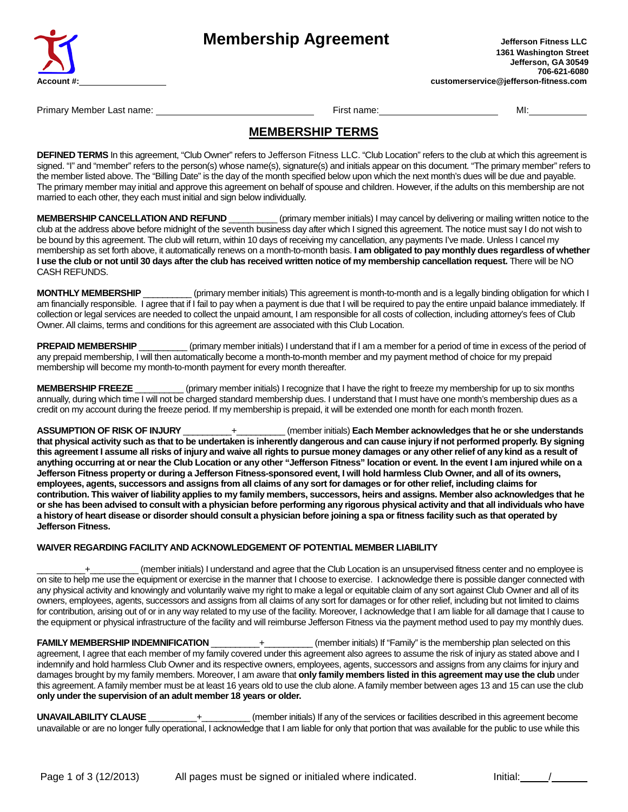

Primary Member Last name: First name: MI:

## **MEMBERSHIP TERMS**

**DEFINED TERMS** In this agreement, "Club Owner" refers to Jefferson Fitness LLC. "Club Location" refers to the club at which this agreement is signed. "I" and "member" refers to the person(s) whose name(s), signature(s) and initials appear on this document. "The primary member" refers to the member listed above. The "Billing Date" is the day of the month specified below upon which the next month's dues will be due and payable. The primary member may initial and approve this agreement on behalf of spouse and children. However, if the adults on this membership are not married to each other, they each must initial and sign below individually.

**MEMBERSHIP CANCELLATION AND REFUND** \_\_\_\_\_\_\_\_\_\_ (primary member initials) I may cancel by delivering or mailing written notice to the club at the address above before midnight of the seventh business day after which I signed this agreement. The notice must say I do not wish to be bound by this agreement. The club will return, within 10 days of receiving my cancellation, any payments I've made. Unless I cancel my membership as set forth above, it automatically renews on a month-to-month basis. **I am obligated to pay monthly dues regardless of whether I use the club or not until 30 days after the club has received written notice of my membership cancellation request.** There will be NO CASH REFUNDS.

**MONTHLY MEMBERSHIP** \_\_\_\_\_\_\_\_\_\_ (primary member initials) This agreement is month-to-month and is a legally binding obligation for which I am financially responsible. I agree that if I fail to pay when a payment is due that I will be required to pay the entire unpaid balance immediately. If collection or legal services are needed to collect the unpaid amount, I am responsible for all costs of collection, including attorney's fees of Club Owner. All claims, terms and conditions for this agreement are associated with this Club Location.

**PREPAID MEMBERSHIP** (primary member initials) I understand that if I am a member for a period of time in excess of the period of any prepaid membership, I will then automatically become a month-to-month member and my payment method of choice for my prepaid membership will become my month-to-month payment for every month thereafter.

**MEMBERSHIP FREEZE** \_\_\_\_\_\_\_\_\_\_ (primary member initials) I recognize that I have the right to freeze my membership for up to six months annually, during which time I will not be charged standard membership dues. I understand that I must have one month's membership dues as a credit on my account during the freeze period. If my membership is prepaid, it will be extended one month for each month frozen.

**ASSUMPTION OF RISK OF INJURY** \_\_\_\_\_\_\_\_\_\_+\_\_\_\_\_\_\_\_\_\_ (member initials) **Each Member acknowledges that he or she understands that physical activity such as that to be undertaken is inherently dangerous and can cause injury if not performed properly. By signing this agreement I assume all risks of injury and waive all rights to pursue money damages or any other relief of any kind as a result of anything occurring at or near the Club Location or any other "Jefferson Fitness" location or event. In the event I am injured while on a Jefferson Fitness property or during a Jefferson Fitness-sponsored event, I will hold harmless Club Owner, and all of its owners, employees, agents, successors and assigns from all claims of any sort for damages or for other relief, including claims for contribution. This waiver of liability applies to my family members, successors, heirs and assigns. Member also acknowledges that he or she has been advised to consult with a physician before performing any rigorous physical activity and that all individuals who have a history of heart disease or disorder should consult a physician before joining a spa or fitness facility such as that operated by Jefferson Fitness.**

## **WAIVER REGARDING FACILITY AND ACKNOWLEDGEMENT OF POTENTIAL MEMBER LIABILITY**

\_\_\_\_\_\_\_\_\_\_+\_\_\_\_\_\_\_\_\_\_ (member initials) I understand and agree that the Club Location is an unsupervised fitness center and no employee is on site to help me use the equipment or exercise in the manner that I choose to exercise. I acknowledge there is possible danger connected with any physical activity and knowingly and voluntarily waive my right to make a legal or equitable claim of any sort against Club Owner and all of its owners, employees, agents, successors and assigns from all claims of any sort for damages or for other relief, including but not limited to claims for contribution, arising out of or in any way related to my use of the facility. Moreover, I acknowledge that I am liable for all damage that I cause to the equipment or physical infrastructure of the facility and will reimburse Jefferson Fitness via the payment method used to pay my monthly dues.

**FAMILY MEMBERSHIP INDEMNIFICATION** \_\_\_\_\_\_\_\_\_\_+\_\_\_\_\_\_\_\_\_\_ (member initials) If "Family" is the membership plan selected on this agreement, I agree that each member of my family covered under this agreement also agrees to assume the risk of injury as stated above and I indemnify and hold harmless Club Owner and its respective owners, employees, agents, successors and assigns from any claims for injury and damages brought by my family members. Moreover, I am aware that **only family members listed in this agreement may use the club** under this agreement. A family member must be at least 16 years old to use the club alone. A family member between ages 13 and 15 can use the club **only under the supervision of an adult member 18 years or older.**

**UNAVAILABILITY CLAUSE** \_\_\_\_\_\_\_\_\_\_+\_\_\_\_\_\_\_\_\_\_ (member initials) If any of the services or facilities described in this agreement become unavailable or are no longer fully operational, I acknowledge that I am liable for only that portion that was available for the public to use while this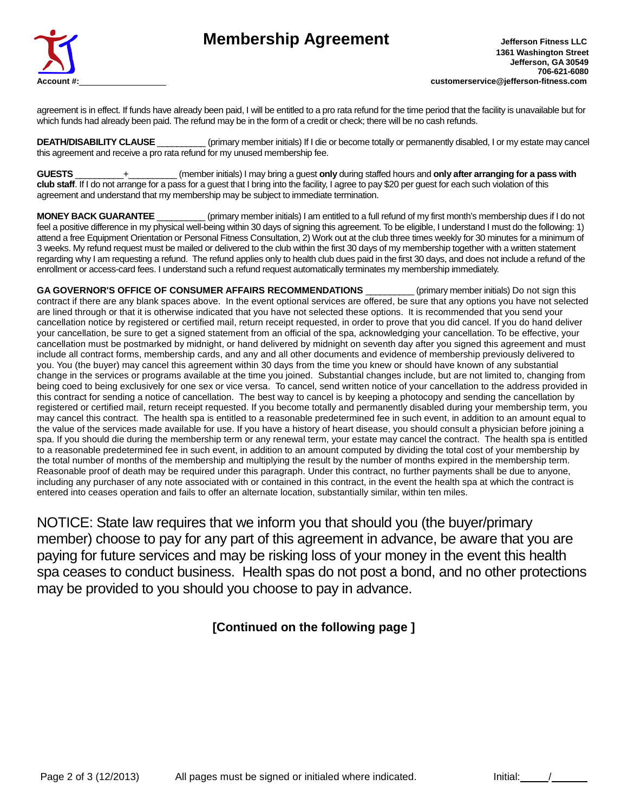

agreement is in effect. If funds have already been paid, I will be entitled to a pro rata refund for the time period that the facility is unavailable but for which funds had already been paid. The refund may be in the form of a credit or check; there will be no cash refunds.

**DEATH/DISABILITY CLAUSE** \_\_\_\_\_\_\_\_\_\_ (primary member initials) If I die or become totally or permanently disabled, I or my estate may cancel this agreement and receive a pro rata refund for my unused membership fee.

**GUESTS** \_\_\_\_\_\_\_\_\_\_+\_\_\_\_\_\_\_\_\_\_ (member initials) I may bring a guest **only** during staffed hours and **only after arranging for a pass with club staff**. If I do not arrange for a pass for a guest that I bring into the facility, I agree to pay \$20 per guest for each such violation of this agreement and understand that my membership may be subject to immediate termination.

**MONEY BACK GUARANTEE** (primary member initials) I am entitled to a full refund of my first month's membership dues if I do not feel a positive difference in my physical well-being within 30 days of signing this agreement. To be eligible, I understand I must do the following: 1) attend a free Equipment Orientation or Personal Fitness Consultation, 2) Work out at the club three times weekly for 30 minutes for a minimum of 3 weeks. My refund request must be mailed or delivered to the club within the first 30 days of my membership together with a written statement regarding why I am requesting a refund. The refund applies only to health club dues paid in the first 30 days, and does not include a refund of the enrollment or access-card fees. I understand such a refund request automatically terminates my membership immediately.

**GA GOVERNOR'S OFFICE OF CONSUMER AFFAIRS RECOMMENDATIONS** \_\_\_\_\_\_\_\_\_\_ (primary member initials) Do not sign this contract if there are any blank spaces above. In the event optional services are offered, be sure that any options you have not selected are lined through or that it is otherwise indicated that you have not selected these options. It is recommended that you send your cancellation notice by registered or certified mail, return receipt requested, in order to prove that you did cancel. If you do hand deliver your cancellation, be sure to get a signed statement from an official of the spa, acknowledging your cancellation. To be effective, your cancellation must be postmarked by midnight, or hand delivered by midnight on seventh day after you signed this agreement and must include all contract forms, membership cards, and any and all other documents and evidence of membership previously delivered to you. You (the buyer) may cancel this agreement within 30 days from the time you knew or should have known of any substantial change in the services or programs available at the time you joined. Substantial changes include, but are not limited to, changing from being coed to being exclusively for one sex or vice versa. To cancel, send written notice of your cancellation to the address provided in this contract for sending a notice of cancellation. The best way to cancel is by keeping a photocopy and sending the cancellation by registered or certified mail, return receipt requested. If you become totally and permanently disabled during your membership term, you may cancel this contract. The health spa is entitled to a reasonable predetermined fee in such event, in addition to an amount equal to the value of the services made available for use. If you have a history of heart disease, you should consult a physician before joining a spa. If you should die during the membership term or any renewal term, your estate may cancel the contract. The health spa is entitled to a reasonable predetermined fee in such event, in addition to an amount computed by dividing the total cost of your membership by the total number of months of the membership and multiplying the result by the number of months expired in the membership term. Reasonable proof of death may be required under this paragraph. Under this contract, no further payments shall be due to anyone, including any purchaser of any note associated with or contained in this contract, in the event the health spa at which the contract is entered into ceases operation and fails to offer an alternate location, substantially similar, within ten miles.

NOTICE: State law requires that we inform you that should you (the buyer/primary member) choose to pay for any part of this agreement in advance, be aware that you are paying for future services and may be risking loss of your money in the event this health spa ceases to conduct business. Health spas do not post a bond, and no other protections may be provided to you should you choose to pay in advance.

## **[Continued on the following page ]**